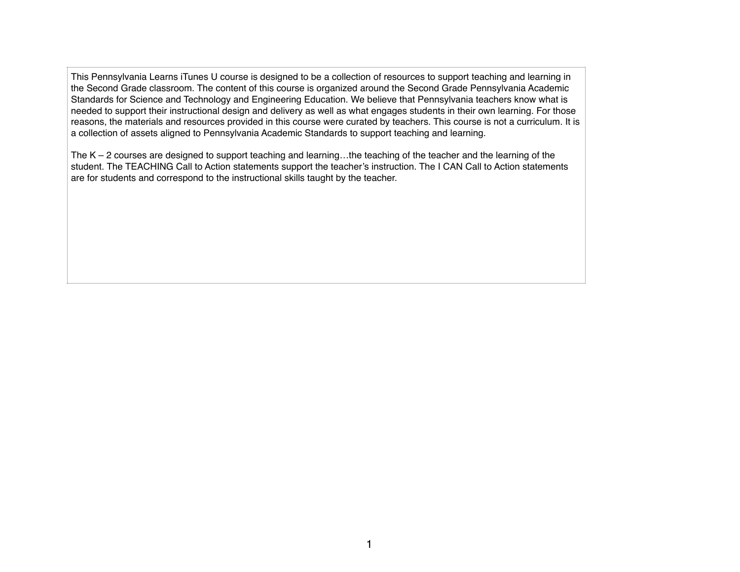This Pennsylvania Learns iTunes U course is designed to be a collection of resources to support teaching and learning in the Second Grade classroom. The content of this course is organized around the Second Grade Pennsylvania Academic Standards for Science and Technology and Engineering Education. We believe that Pennsylvania teachers know what is needed to support their instructional design and delivery as well as what engages students in their own learning. For those reasons, the materials and resources provided in this course were curated by teachers. This course is not a curriculum. It is a collection of assets aligned to Pennsylvania Academic Standards to support teaching and learning.

The K – 2 courses are designed to support teaching and learning…the teaching of the teacher and the learning of the student. The TEACHING Call to Action statements support the teacher's instruction. The I CAN Call to Action statements are for students and correspond to the instructional skills taught by the teacher.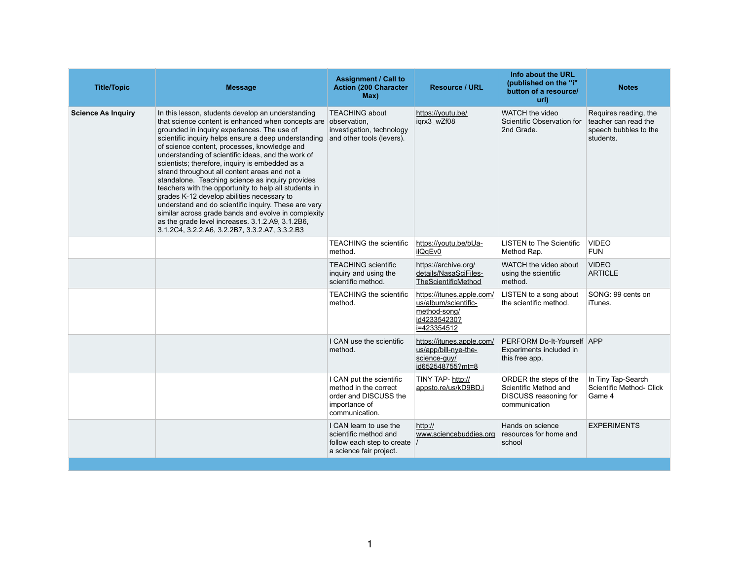| <b>Title/Topic</b>        | <b>Message</b>                                                                                                                                                                                                                                                                                                                                                                                                                                                                                                                                                                                                                                                                                                                                                                                           | <b>Assignment / Call to</b><br><b>Action (200 Character</b><br>Max)                                                    | <b>Resource / URL</b>                                                                            | Info about the URL<br>(published on the "i"<br>button of a resource/<br>url)                     | <b>Notes</b>                                                                        |
|---------------------------|----------------------------------------------------------------------------------------------------------------------------------------------------------------------------------------------------------------------------------------------------------------------------------------------------------------------------------------------------------------------------------------------------------------------------------------------------------------------------------------------------------------------------------------------------------------------------------------------------------------------------------------------------------------------------------------------------------------------------------------------------------------------------------------------------------|------------------------------------------------------------------------------------------------------------------------|--------------------------------------------------------------------------------------------------|--------------------------------------------------------------------------------------------------|-------------------------------------------------------------------------------------|
| <b>Science As Inquiry</b> | In this lesson, students develop an understanding<br>that science content is enhanced when concepts are<br>grounded in inquiry experiences. The use of<br>scientific inquiry helps ensure a deep understanding<br>of science content, processes, knowledge and<br>understanding of scientific ideas, and the work of<br>scientists; therefore, inquiry is embedded as a<br>strand throughout all content areas and not a<br>standalone. Teaching science as inquiry provides<br>teachers with the opportunity to help all students in<br>grades K-12 develop abilities necessary to<br>understand and do scientific inquiry. These are very<br>similar across grade bands and evolve in complexity<br>as the grade level increases. 3.1.2.A9, 3.1.2B6,<br>3.1.2C4, 3.2.2.A6, 3.2.2B7, 3.3.2.A7, 3.3.2.B3 | <b>TEACHING about</b><br>observation,<br>investigation, technology<br>and other tools (levers).                        | https://youtu.be/<br>igrx3 wZf08                                                                 | WATCH the video<br>Scientific Observation for<br>2nd Grade.                                      | Requires reading, the<br>teacher can read the<br>speech bubbles to the<br>students. |
|                           |                                                                                                                                                                                                                                                                                                                                                                                                                                                                                                                                                                                                                                                                                                                                                                                                          | <b>TEACHING the scientific</b><br>method.                                                                              | https://youtu.be/bUa-<br>ilQqEv0                                                                 | <b>LISTEN to The Scientific</b><br>Method Rap.                                                   | <b>VIDEO</b><br><b>FUN</b>                                                          |
|                           |                                                                                                                                                                                                                                                                                                                                                                                                                                                                                                                                                                                                                                                                                                                                                                                                          | <b>TEACHING scientific</b><br>inquiry and using the<br>scientific method.                                              | https://archive.org/<br>details/NasaSciFiles-<br><b>TheScientificMethod</b>                      | WATCH the video about<br>using the scientific<br>method.                                         | <b>VIDEO</b><br><b>ARTICLE</b>                                                      |
|                           |                                                                                                                                                                                                                                                                                                                                                                                                                                                                                                                                                                                                                                                                                                                                                                                                          | <b>TEACHING the scientific</b><br>method.                                                                              | https://itunes.apple.com/<br>us/album/scientific-<br>method-song/<br>id423354230?<br>i=423354512 | LISTEN to a song about<br>the scientific method.                                                 | SONG: 99 cents on<br>iTunes.                                                        |
|                           |                                                                                                                                                                                                                                                                                                                                                                                                                                                                                                                                                                                                                                                                                                                                                                                                          | I CAN use the scientific<br>method.                                                                                    | https://itunes.apple.com/<br>us/app/bill-nye-the-<br>science-guy/<br>id652548755?mt=8            | PERFORM Do-It-Yourself   APP<br>Experiments included in<br>this free app.                        |                                                                                     |
|                           |                                                                                                                                                                                                                                                                                                                                                                                                                                                                                                                                                                                                                                                                                                                                                                                                          | I CAN put the scientific<br>method in the correct<br>order and DISCUSS the<br>importance of<br>communication.          | TINY TAP- http://<br>appsto.re/us/kD9BD.i                                                        | ORDER the steps of the<br>Scientific Method and<br><b>DISCUSS reasoning for</b><br>communication | In Tiny Tap-Search<br><b>Scientific Method- Click</b><br>Game 4                     |
|                           |                                                                                                                                                                                                                                                                                                                                                                                                                                                                                                                                                                                                                                                                                                                                                                                                          | I CAN learn to use the<br>scientific method and<br>follow each step to create $\frac{1}{2}$<br>a science fair project. | http://<br>www.sciencebuddies.org                                                                | Hands on science<br>resources for home and<br>school                                             | <b>EXPERIMENTS</b>                                                                  |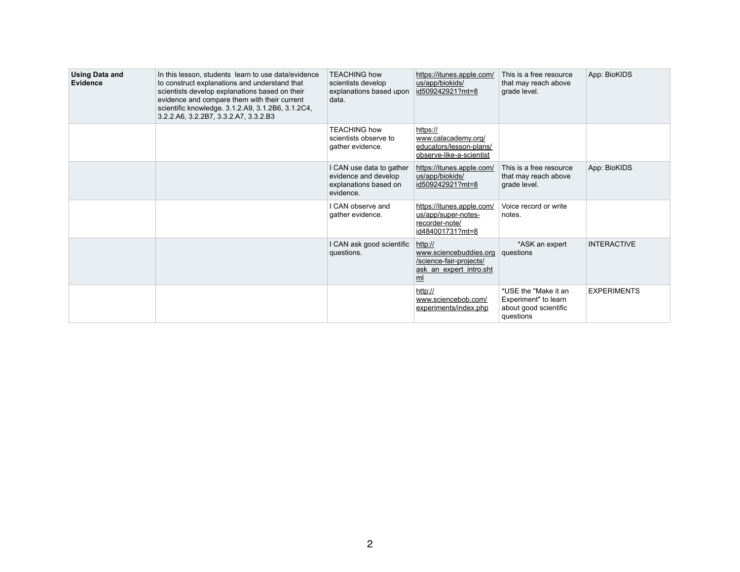| <b>Using Data and</b><br><b>Evidence</b> | In this lesson, students learn to use data/evidence<br>to construct explanations and understand that<br>scientists develop explanations based on their<br>evidence and compare them with their current<br>scientific knowledge. 3.1.2.A9, 3.1.2B6, 3.1.2C4,<br>3.2.2.A6, 3.2.2B7, 3.3.2.A7, 3.3.2.B3 | <b>TEACHING how</b><br>scientists develop<br>explanations based upon<br>data.          | https://itunes.apple.com/<br>us/app/biokids/<br>id509242921?mt=8                                          | This is a free resource<br>that may reach above<br>grade level.                    | App: BioKIDS       |
|------------------------------------------|------------------------------------------------------------------------------------------------------------------------------------------------------------------------------------------------------------------------------------------------------------------------------------------------------|----------------------------------------------------------------------------------------|-----------------------------------------------------------------------------------------------------------|------------------------------------------------------------------------------------|--------------------|
|                                          |                                                                                                                                                                                                                                                                                                      | <b>TEACHING how</b><br>scientists observe to<br>gather evidence.                       | https://<br>www.calacademy.org/<br>educators/lesson-plans/<br>observe-like-a-scientist                    |                                                                                    |                    |
|                                          |                                                                                                                                                                                                                                                                                                      | I CAN use data to gather<br>evidence and develop<br>explanations based on<br>evidence. | https://itunes.apple.com/<br>us/app/biokids/<br>id509242921?mt=8                                          | This is a free resource<br>that may reach above<br>grade level.                    | App: BioKIDS       |
|                                          |                                                                                                                                                                                                                                                                                                      | I CAN observe and<br>gather evidence.                                                  | https://itunes.apple.com/<br>us/app/super-notes-<br>recorder-note/<br>id484001731?mt=8                    | Voice record or write<br>notes.                                                    |                    |
|                                          |                                                                                                                                                                                                                                                                                                      | I CAN ask good scientific<br>questions.                                                | http://<br>www.sciencebuddies.org<br>/science-fair-projects/<br>ask an expert intro.sht<br>m <sub>l</sub> | *ASK an expert<br>questions                                                        | <b>INTERACTIVE</b> |
|                                          |                                                                                                                                                                                                                                                                                                      |                                                                                        | http://<br>www.sciencebob.com/<br>experiments/index.php                                                   | *USE the "Make it an<br>Experiment" to learn<br>about good scientific<br>questions | <b>EXPERIMENTS</b> |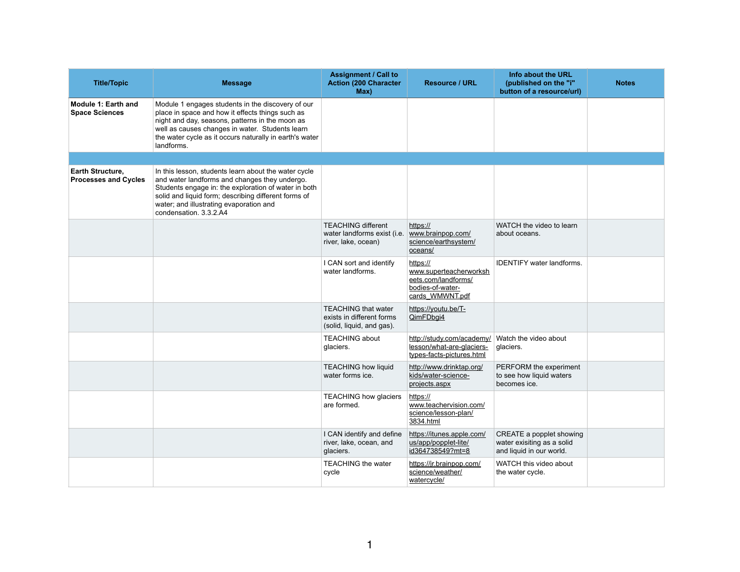| <b>Title/Topic</b>                                  | <b>Message</b>                                                                                                                                                                                                                                                                             | <b>Assignment / Call to</b><br><b>Action (200 Character</b><br>Max)                  | <b>Resource / URL</b>                                                                            | Info about<br>(published<br>button of a re             |
|-----------------------------------------------------|--------------------------------------------------------------------------------------------------------------------------------------------------------------------------------------------------------------------------------------------------------------------------------------------|--------------------------------------------------------------------------------------|--------------------------------------------------------------------------------------------------|--------------------------------------------------------|
| <b>Module 1: Earth and</b><br><b>Space Sciences</b> | Module 1 engages students in the discovery of our<br>place in space and how it effects things such as<br>night and day, seasons, patterns in the moon as<br>well as causes changes in water. Students learn<br>the water cycle as it occurs naturally in earth's water<br>landforms.       |                                                                                      |                                                                                                  |                                                        |
|                                                     |                                                                                                                                                                                                                                                                                            |                                                                                      |                                                                                                  |                                                        |
| Earth Structure,<br><b>Processes and Cycles</b>     | In this lesson, students learn about the water cycle<br>and water landforms and changes they undergo.<br>Students engage in: the exploration of water in both<br>solid and liquid form; describing different forms of<br>water; and illustrating evaporation and<br>condensation, 3.3.2.A4 |                                                                                      |                                                                                                  |                                                        |
|                                                     |                                                                                                                                                                                                                                                                                            | <b>TEACHING different</b><br>water landforms exist (i.e.<br>river, lake, ocean)      | https://<br>www.brainpop.com/<br>science/earthsystem/<br>oceans/                                 | WATCH the vid<br>about oceans.                         |
|                                                     |                                                                                                                                                                                                                                                                                            | I CAN sort and identify<br>water landforms.                                          | https://<br>www.superteacherworksh<br>eets.com/landforms/<br>bodies-of-water-<br>cards WMWNT.pdf | <b>IDENTIFY</b> wate                                   |
|                                                     |                                                                                                                                                                                                                                                                                            | <b>TEACHING that water</b><br>exists in different forms<br>(solid, liquid, and gas). | https://youtu.be/T-<br>QimFDbgi4                                                                 |                                                        |
|                                                     |                                                                                                                                                                                                                                                                                            | <b>TEACHING about</b><br>glaciers.                                                   | http://study.com/academy/<br>lesson/what-are-glaciers-<br>types-facts-pictures.html              | Watch the video<br>glaciers.                           |
|                                                     |                                                                                                                                                                                                                                                                                            | <b>TEACHING how liquid</b><br>water forms ice.                                       | http://www.drinktap.org/<br>kids/water-science-<br>projects aspx                                 | PERFORM the<br>to see how liqui<br>becomes ice.        |
|                                                     |                                                                                                                                                                                                                                                                                            | <b>TEACHING how glaciers</b><br>are formed.                                          | https://<br>www.teachervision.com/<br>science/lesson-plan/<br>3834.html                          |                                                        |
|                                                     |                                                                                                                                                                                                                                                                                            | I CAN identify and define<br>river, lake, ocean, and<br>glaciers.                    | https://itunes.apple.com/<br>us/app/popplet-lite/<br>id364738549?mt=8                            | CREATE a pop<br>water exisiting a<br>and liquid in our |
|                                                     |                                                                                                                                                                                                                                                                                            | <b>TEACHING the water</b><br>cycle                                                   | https://jr.brainpop.com/<br>science/weather/<br>watercycle/                                      | <b>WATCH</b> this vid<br>the water cycle.              |

| Info about the URL<br>(published on the "i"<br>button of a resource/url)                  | <b>Notes</b> |
|-------------------------------------------------------------------------------------------|--------------|
|                                                                                           |              |
|                                                                                           |              |
|                                                                                           |              |
| WATCH the video to learn<br>about oceans.                                                 |              |
| <b>IDENTIFY water landforms.</b>                                                          |              |
|                                                                                           |              |
| Watch the video about<br>glaciers.                                                        |              |
| PERFORM the experiment<br>to see how liquid waters<br>becomes ice.                        |              |
|                                                                                           |              |
| <b>CREATE a popplet showing</b><br>water exisiting as a solid<br>and liquid in our world. |              |
| <b>WATCH this video about</b><br>the water cycle.                                         |              |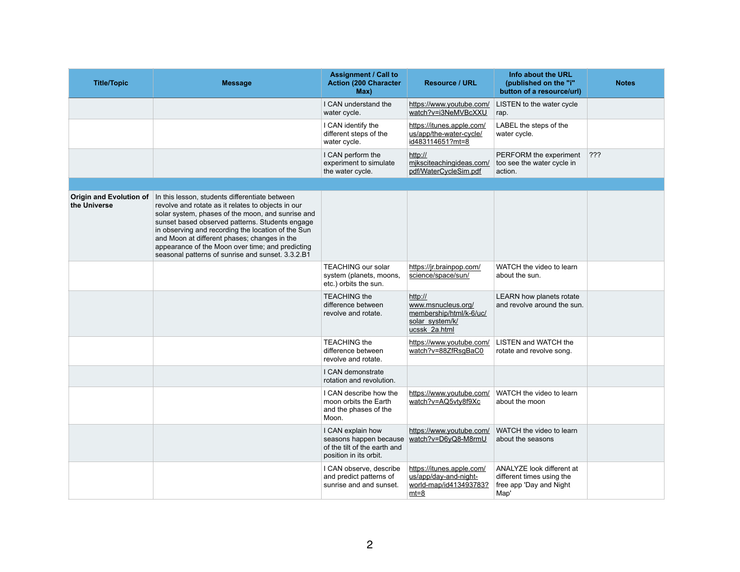| <b>Title/Topic</b>                             | <b>Message</b>                                                                                                                                                                                                                                                                                                                                                                                                              | <b>Assignment / Call to</b><br><b>Action (200 Character</b><br>Max)                                   | <b>Resource / URL</b>                                                                        | Info about the<br>(published on<br>button of a reso                           |
|------------------------------------------------|-----------------------------------------------------------------------------------------------------------------------------------------------------------------------------------------------------------------------------------------------------------------------------------------------------------------------------------------------------------------------------------------------------------------------------|-------------------------------------------------------------------------------------------------------|----------------------------------------------------------------------------------------------|-------------------------------------------------------------------------------|
|                                                |                                                                                                                                                                                                                                                                                                                                                                                                                             | I CAN understand the<br>water cycle.                                                                  | https://www.youtube.com/<br>watch?v=i3NeMVBcXXU                                              | <b>LISTEN</b> to the wat<br>rap.                                              |
|                                                |                                                                                                                                                                                                                                                                                                                                                                                                                             | I CAN identify the<br>different steps of the<br>water cycle.                                          | https://itunes.apple.com/<br>us/app/the-water-cycle/<br>id483114651?mt=8                     | LABEL the steps o<br>water cycle.                                             |
|                                                |                                                                                                                                                                                                                                                                                                                                                                                                                             | I CAN perform the<br>experiment to simulate<br>the water cycle.                                       | http://<br>miksciteachingideas.com/<br>pdf/WaterCycleSim.pdf                                 | PERFORM the ex<br>too see the water<br>action.                                |
|                                                |                                                                                                                                                                                                                                                                                                                                                                                                                             |                                                                                                       |                                                                                              |                                                                               |
| <b>Origin and Evolution of</b><br>the Universe | In this lesson, students differentiate between<br>revolve and rotate as it relates to objects in our<br>solar system, phases of the moon, and sunrise and<br>sunset based observed patterns. Students engage<br>in observing and recording the location of the Sun<br>and Moon at different phases; changes in the<br>appearance of the Moon over time; and predicting<br>seasonal patterns of sunrise and sunset. 3.3.2.B1 |                                                                                                       |                                                                                              |                                                                               |
|                                                |                                                                                                                                                                                                                                                                                                                                                                                                                             | <b>TEACHING our solar</b><br>system (planets, moons,<br>etc.) orbits the sun.                         | https://jr.brainpop.com/<br>science/space/sun/                                               | WATCH the video<br>about the sun.                                             |
|                                                |                                                                                                                                                                                                                                                                                                                                                                                                                             | <b>TEACHING the</b><br>difference between<br>revolve and rotate.                                      | http://<br>www.msnucleus.org/<br>membership/html/k-6/uc/<br>solar system/k/<br>ucssk 2a.html | <b>LEARN</b> how plane<br>and revolve aroun                                   |
|                                                |                                                                                                                                                                                                                                                                                                                                                                                                                             | <b>TEACHING the</b><br>difference between<br>revolve and rotate.                                      | https://www.youtube.com/<br>watch?v=88ZfRsgBaC0                                              | <b>LISTEN and WAT</b><br>rotate and revolve                                   |
|                                                |                                                                                                                                                                                                                                                                                                                                                                                                                             | I CAN demonstrate<br>rotation and revolution.                                                         |                                                                                              |                                                                               |
|                                                |                                                                                                                                                                                                                                                                                                                                                                                                                             | I CAN describe how the<br>moon orbits the Earth<br>and the phases of the<br>Moon.                     | https://www.youtube.com/<br>watch?v=AQ5vty8f9Xc                                              | WATCH the video<br>about the moon                                             |
|                                                |                                                                                                                                                                                                                                                                                                                                                                                                                             | I CAN explain how<br>seasons happen because<br>of the tilt of the earth and<br>position in its orbit. | https://www.youtube.com/<br>watch?v=D6yQ8-M8rmU                                              | WATCH the video<br>about the seasons                                          |
|                                                |                                                                                                                                                                                                                                                                                                                                                                                                                             | I CAN observe, describe<br>and predict patterns of<br>sunrise and and sunset.                         | https://itunes.apple.com/<br>us/app/day-and-night-<br>world-map/id413493783?<br>$mt=8$       | <b>ANALYZE look diff</b><br>different times usir<br>free app 'Day and<br>Map' |

| Info about the URL<br>(published on the "i"<br>button of a resource/url)                         | <b>Notes</b> |
|--------------------------------------------------------------------------------------------------|--------------|
| LISTEN to the water cycle<br>rap.                                                                |              |
| LABEL the steps of the<br>water cycle.                                                           |              |
| PERFORM the experiment<br>too see the water cycle in<br>action.                                  | ???          |
|                                                                                                  |              |
|                                                                                                  |              |
| WATCH the video to learn<br>about the sun.                                                       |              |
| <b>LEARN how planets rotate</b><br>and revolve around the sun.                                   |              |
| <b>LISTEN and WATCH the</b><br>rotate and revolve song.                                          |              |
|                                                                                                  |              |
| WATCH the video to learn<br>about the moon                                                       |              |
| WATCH the video to learn<br>about the seasons                                                    |              |
| <b>ANALYZE look different at</b><br>different times using the<br>free app 'Day and Night<br>Map' |              |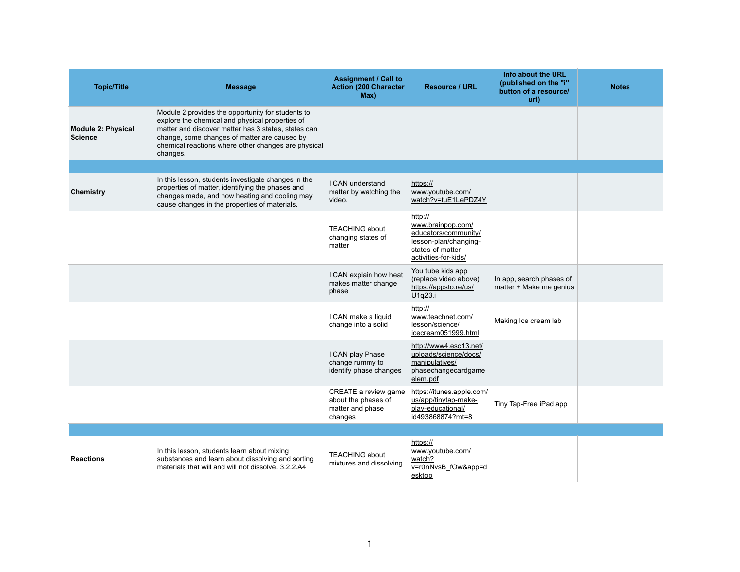| <b>Topic/Title</b>                          | <b>Message</b>                                                                                                                                                                                                                                                                 | <b>Assignment / Call to</b><br><b>Action (200 Character</b><br>Max)        | <b>Resource / URL</b>                                                                                                      | Info about the URL<br>(published on the "i"<br>button of a resource/<br>url) | <b>Notes</b> |
|---------------------------------------------|--------------------------------------------------------------------------------------------------------------------------------------------------------------------------------------------------------------------------------------------------------------------------------|----------------------------------------------------------------------------|----------------------------------------------------------------------------------------------------------------------------|------------------------------------------------------------------------------|--------------|
| <b>Module 2: Physical</b><br><b>Science</b> | Module 2 provides the opportunity for students to<br>explore the chemical and physical properties of<br>matter and discover matter has 3 states, states can<br>change, some changes of matter are caused by<br>chemical reactions where other changes are physical<br>changes. |                                                                            |                                                                                                                            |                                                                              |              |
|                                             |                                                                                                                                                                                                                                                                                |                                                                            |                                                                                                                            |                                                                              |              |
| <b>Chemistry</b>                            | In this lesson, students investigate changes in the<br>properties of matter, identifying the phases and<br>changes made, and how heating and cooling may<br>cause changes in the properties of materials.                                                                      | I CAN understand<br>matter by watching the<br>video.                       | https://<br>www.youtube.com/<br>watch?v=tuE1LePDZ4Y                                                                        |                                                                              |              |
|                                             |                                                                                                                                                                                                                                                                                | <b>TEACHING about</b><br>changing states of<br>matter                      | http://<br>www.brainpop.com/<br>educators/community/<br>lesson-plan/changing-<br>states-of-matter-<br>activities-for-kids/ |                                                                              |              |
|                                             |                                                                                                                                                                                                                                                                                | I CAN explain how heat<br>makes matter change<br>phase                     | You tube kids app<br>(replace video above)<br>https://appsto.re/us/<br>U <sub>1</sub> q <sub>23.i</sub>                    | In app, search phases of<br>matter + Make me genius                          |              |
|                                             |                                                                                                                                                                                                                                                                                | I CAN make a liquid<br>change into a solid                                 | http://<br>www.teachnet.com/<br>lesson/science/<br>icecream051999.html                                                     | Making Ice cream lab                                                         |              |
|                                             |                                                                                                                                                                                                                                                                                | I CAN play Phase<br>change rummy to<br>identify phase changes              | http://www4.esc13.net/<br>uploads/science/docs/<br>manipulatives/<br>phasechangecardgame<br>elem.pdf                       |                                                                              |              |
|                                             |                                                                                                                                                                                                                                                                                | CREATE a review game<br>about the phases of<br>matter and phase<br>changes | https://itunes.apple.com/<br>us/app/tinytap-make-<br>play-educational/<br>id493868874?mt=8                                 | Tiny Tap-Free iPad app                                                       |              |
|                                             |                                                                                                                                                                                                                                                                                |                                                                            |                                                                                                                            |                                                                              |              |
| <b>Reactions</b>                            | In this lesson, students learn about mixing<br>substances and learn about dissolving and sorting<br>materials that will and will not dissolve. 3.2.2.A4                                                                                                                        | <b>TEACHING about</b><br>mixtures and dissolving.                          | https://<br>www.youtube.com/<br>watch?<br>v=r0nNvsB_fOw&app=d<br>esktop                                                    |                                                                              |              |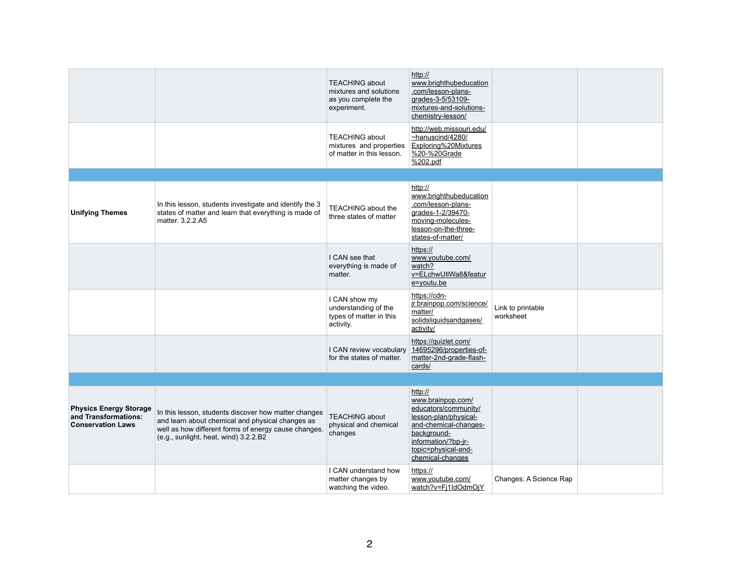|                                                                                   |                                                                                                                                                                                                           | <b>TEACHING about</b><br>mixtures and solutions<br>as you complete the<br>experiment. | http://<br>www.brighthubeducation<br>.com/lesson-plans-<br>grades-3-5/53109-<br>mixtures-and-solutions-<br>chemistry-lesson/                                                            |                            |
|-----------------------------------------------------------------------------------|-----------------------------------------------------------------------------------------------------------------------------------------------------------------------------------------------------------|---------------------------------------------------------------------------------------|-----------------------------------------------------------------------------------------------------------------------------------------------------------------------------------------|----------------------------|
|                                                                                   |                                                                                                                                                                                                           | <b>TEACHING about</b><br>mixtures and properties<br>of matter in this lesson.         | http://web.missouri.edu/<br>~hanuscind/4280/<br>Exploring%20Mixtures<br>%20-%20Grade<br>%202.pdf                                                                                        |                            |
|                                                                                   |                                                                                                                                                                                                           |                                                                                       |                                                                                                                                                                                         |                            |
| <b>Unifying Themes</b>                                                            | In this lesson, students investigate and identify the 3<br>states of matter and learn that everything is made of<br>matter, 3.2.2.A5                                                                      | <b>TEACHING about the</b><br>three states of matter                                   | http://<br>www.brighthubeducation<br>.com/lesson-plans-<br>grades-1-2/39470-<br>moving-molecules-<br>lesson-on-the-three-<br>states-of-matter/                                          |                            |
|                                                                                   |                                                                                                                                                                                                           | I CAN see that<br>everything is made of<br>matter.                                    | https://<br>www.youtube.com/<br>watch?<br>v=ELchwUIIWa8&featur<br>e=youtu.be                                                                                                            |                            |
|                                                                                   |                                                                                                                                                                                                           | I CAN show my<br>understanding of the<br>types of matter in this<br>activity.         | https://cdn-<br>ir.brainpop.com/science/<br>matter/<br>solidsliquidsandgases/<br>activity/                                                                                              | Link to print<br>worksheet |
|                                                                                   |                                                                                                                                                                                                           | I CAN review vocabulary<br>for the states of matter.                                  | https://quizlet.com/<br>14695296/properties-of-<br>matter-2nd-grade-flash-<br>cards/                                                                                                    |                            |
|                                                                                   |                                                                                                                                                                                                           |                                                                                       |                                                                                                                                                                                         |                            |
| <b>Physics Energy Storage</b><br>and Transformations:<br><b>Conservation Laws</b> | In this lesson, students discover how matter changes<br>and learn about chemical and physical changes as<br>well as how different forms of energy cause changes.<br>(e.g., sunlight, heat, wind) 3.2.2.B2 | <b>TEACHING about</b><br>physical and chemical<br>changes                             | http://<br>www.brainpop.com/<br>educators/community/<br>lesson-plan/physical-<br>and-chemical-changes-<br>background-<br>information/?bp-jr-<br>topic=physical-and-<br>chemical-changes |                            |
|                                                                                   |                                                                                                                                                                                                           | I CAN understand how<br>matter changes by<br>watching the video.                      | https://<br>www.youtube.com/<br>watch?v=Fj1IdOdmOjY                                                                                                                                     | Changes: A                 |

| Link to printable<br>worksheet |  |
|--------------------------------|--|
|                                |  |
|                                |  |
|                                |  |
| Changes: A Science Rap         |  |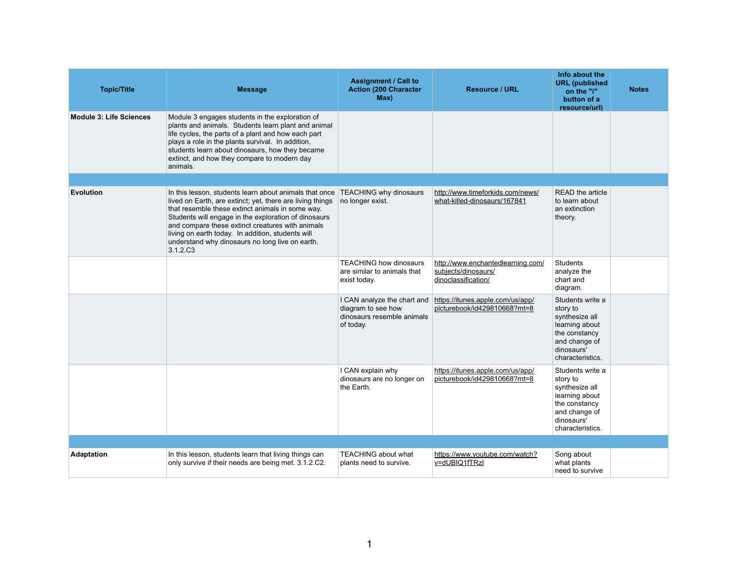| <b>Topic/Title</b>             | <b>Message</b>                                                                                                                                                                                                                                                                                                                                                                                                                               | <b>Assignment / Call to</b><br><b>Action (200 Character</b><br>Max)                          | <b>Resource / URL</b>                                                           | Info about the<br><b>URL</b> (published<br>on the "i"<br>button of a<br>resource/url)                                                | <b>Notes</b> |
|--------------------------------|----------------------------------------------------------------------------------------------------------------------------------------------------------------------------------------------------------------------------------------------------------------------------------------------------------------------------------------------------------------------------------------------------------------------------------------------|----------------------------------------------------------------------------------------------|---------------------------------------------------------------------------------|--------------------------------------------------------------------------------------------------------------------------------------|--------------|
| <b>Module 3: Life Sciences</b> | Module 3 engages students in the exploration of<br>plants and animals. Students learn plant and animal<br>life cycles, the parts of a plant and how each part<br>plays a role in the plants survival. In addition,<br>students learn about dinosaurs, how they became<br>extinct, and how they compare to modern day<br>animals.                                                                                                             |                                                                                              |                                                                                 |                                                                                                                                      |              |
|                                |                                                                                                                                                                                                                                                                                                                                                                                                                                              |                                                                                              |                                                                                 |                                                                                                                                      |              |
| <b>Evolution</b>               | In this lesson, students learn about animals that once   TEACHING why dinosaurs<br>lived on Earth, are extinct; yet, there are living things<br>that resemble these extinct animals in some way.<br>Students will engage in the exploration of dinosaurs<br>and compare these extinct creatures with animals<br>living on earth today. In addition, students will<br>understand why dinosaurs no long live on earth.<br>3.1.2.C <sub>3</sub> | no longer exist.                                                                             | http://www.timeforkids.com/news/<br>what-killed-dinosaurs/167841                | <b>READ the article</b><br>to learn about<br>an extinction<br>theory.                                                                |              |
|                                |                                                                                                                                                                                                                                                                                                                                                                                                                                              | <b>TEACHING how dinosaurs</b><br>are similar to animals that<br>exist today.                 | http://www.enchantedlearning.com/<br>subjects/dinosaurs/<br>dinoclassification/ | <b>Students</b><br>analyze the<br>chart and<br>diagram.                                                                              |              |
|                                |                                                                                                                                                                                                                                                                                                                                                                                                                                              | I CAN analyze the chart and<br>diagram to see how<br>dinosaurs resemble animals<br>of today. | https://itunes.apple.com/us/app/<br>picturebook/id429810668?mt=8                | Students write a<br>story to<br>synthesize all<br>learning about<br>the constancy<br>and change of<br>dinosaurs'<br>characteristics. |              |
|                                |                                                                                                                                                                                                                                                                                                                                                                                                                                              | I CAN explain why<br>dinosaurs are no longer on<br>the Earth.                                | https://itunes.apple.com/us/app/<br>picturebook/id429810668?mt=8                | Students write a<br>story to<br>synthesize all<br>learning about<br>the constancy<br>and change of<br>dinosaurs'<br>characteristics. |              |
|                                |                                                                                                                                                                                                                                                                                                                                                                                                                                              |                                                                                              |                                                                                 |                                                                                                                                      |              |
| <b>Adaptation</b>              | In this lesson, students learn that living things can<br>only survive if their needs are being met. 3.1.2.C2.                                                                                                                                                                                                                                                                                                                                | <b>TEACHING about what</b><br>plants need to survive.                                        | https://www.youtube.com/watch?<br>v=dUBIQ1fTRzI                                 | Song about<br>what plants<br>need to survive                                                                                         |              |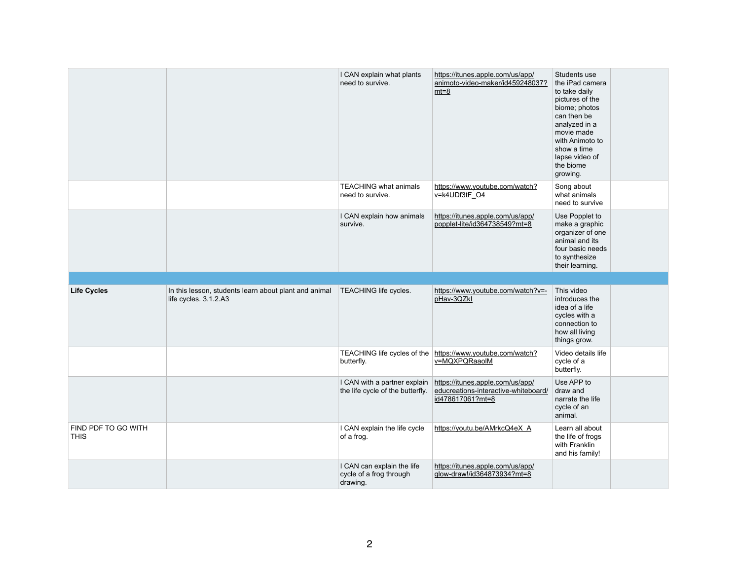|                                    |                                                                                | I CAN explain what plants<br>need to survive.                    | https://itunes.apple.com/us/app/<br>animoto-video-maker/id459248037?<br>$mt=8$               | Students use<br>the iPad camera<br>to take daily<br>pictures of the<br>biome; photos<br>can then be<br>analyzed in a<br>movie made<br>with Animoto to<br>show a time<br>lapse video of<br>the biome<br>growing. |
|------------------------------------|--------------------------------------------------------------------------------|------------------------------------------------------------------|----------------------------------------------------------------------------------------------|-----------------------------------------------------------------------------------------------------------------------------------------------------------------------------------------------------------------|
|                                    |                                                                                | <b>TEACHING what animals</b><br>need to survive.                 | https://www.youtube.com/watch?<br>v=k4UDf3tF_O4                                              | Song about<br>what animals<br>need to survive                                                                                                                                                                   |
|                                    |                                                                                | I CAN explain how animals<br>survive.                            | https://itunes.apple.com/us/app/<br>popplet-lite/id364738549?mt=8                            | Use Popplet to<br>make a graphic<br>organizer of one<br>animal and its<br>four basic needs<br>to synthesize<br>their learning.                                                                                  |
|                                    |                                                                                |                                                                  |                                                                                              |                                                                                                                                                                                                                 |
| <b>Life Cycles</b>                 | In this lesson, students learn about plant and animal<br>life cycles. 3.1.2.A3 | TEACHING life cycles.                                            | https://www.youtube.com/watch?v=-<br>pHav-3QZkl                                              | This video<br>introduces the<br>idea of a life<br>cycles with a<br>connection to<br>how all living<br>things grow.                                                                                              |
|                                    |                                                                                | TEACHING life cycles of the<br>butterfly.                        | https://www.youtube.com/watch?<br>v=MQXPQRaaolM                                              | Video details life<br>cycle of a<br>butterfly.                                                                                                                                                                  |
|                                    |                                                                                | I CAN with a partner explain<br>the life cycle of the butterfly. | https://itunes.apple.com/us/app/<br>educreations-interactive-whiteboard/<br>id478617061?mt=8 | Use APP to<br>draw and<br>narrate the life<br>cycle of an                                                                                                                                                       |
|                                    |                                                                                |                                                                  |                                                                                              | animal.                                                                                                                                                                                                         |
| FIND PDF TO GO WITH<br><b>THIS</b> |                                                                                | I CAN explain the life cycle<br>of a frog.                       | https://youtu.be/AMrkcQ4eX_A                                                                 | Learn all about<br>the life of frogs<br>with Franklin<br>and his family!                                                                                                                                        |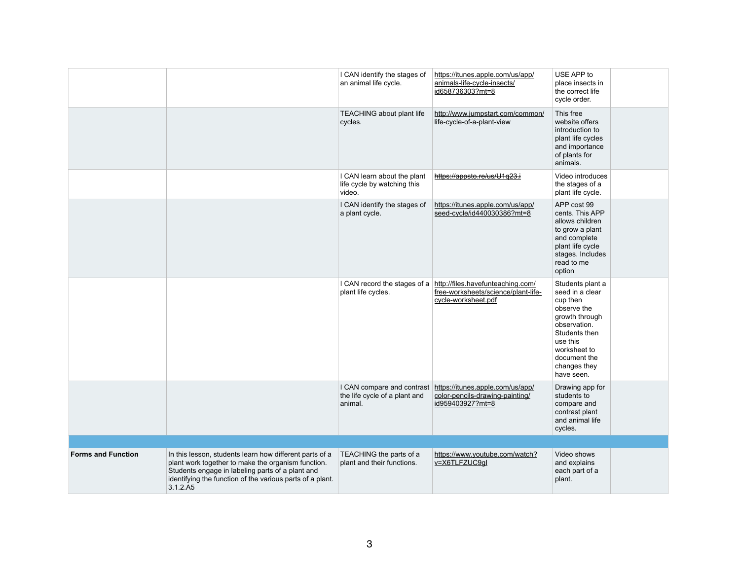|                           |                                                                                                                                                                                                                                            | I CAN learn about the plant                                            | https://appsto.re/us/U1q23.i                                                                    | plant life cycles<br>and importance<br>of plants for<br>animals.<br>Video introduces                                                                                                        |  |
|---------------------------|--------------------------------------------------------------------------------------------------------------------------------------------------------------------------------------------------------------------------------------------|------------------------------------------------------------------------|-------------------------------------------------------------------------------------------------|---------------------------------------------------------------------------------------------------------------------------------------------------------------------------------------------|--|
|                           |                                                                                                                                                                                                                                            | life cycle by watching this<br>video.                                  |                                                                                                 | the stages of a<br>plant life cycle.                                                                                                                                                        |  |
|                           |                                                                                                                                                                                                                                            | I CAN identify the stages of<br>a plant cycle.                         | https://itunes.apple.com/us/app/<br>seed-cycle/id440030386?mt=8                                 | APP cost 99<br>cents. This APP<br>allows children<br>to grow a plant<br>and complete<br>plant life cycle<br>stages. Includes<br>read to me<br>option                                        |  |
|                           |                                                                                                                                                                                                                                            | I CAN record the stages of a<br>plant life cycles.                     | http://files.havefunteaching.com/<br>free-worksheets/science/plant-life-<br>cycle-worksheet.pdf | Students plant a<br>seed in a clear<br>cup then<br>observe the<br>growth through<br>observation.<br>Students then<br>use this<br>worksheet to<br>document the<br>changes they<br>have seen. |  |
|                           |                                                                                                                                                                                                                                            | I CAN compare and contrast<br>the life cycle of a plant and<br>animal. | https://itunes.apple.com/us/app/<br>color-pencils-drawing-painting/<br>id959403927?mt=8         | Drawing app for<br>students to<br>compare and<br>contrast plant<br>and animal life<br>cycles.                                                                                               |  |
|                           |                                                                                                                                                                                                                                            |                                                                        |                                                                                                 |                                                                                                                                                                                             |  |
| <b>Forms and Function</b> | In this lesson, students learn how different parts of a<br>plant work together to make the organism function.<br>Students engage in labeling parts of a plant and<br>identifying the function of the various parts of a plant.<br>3.1.2.A5 | TEACHING the parts of a<br>plant and their functions.                  | https://www.youtube.com/watch?<br>v=X6TLFZUC9gl                                                 | Video shows<br>and explains<br>each part of a<br>plant.                                                                                                                                     |  |